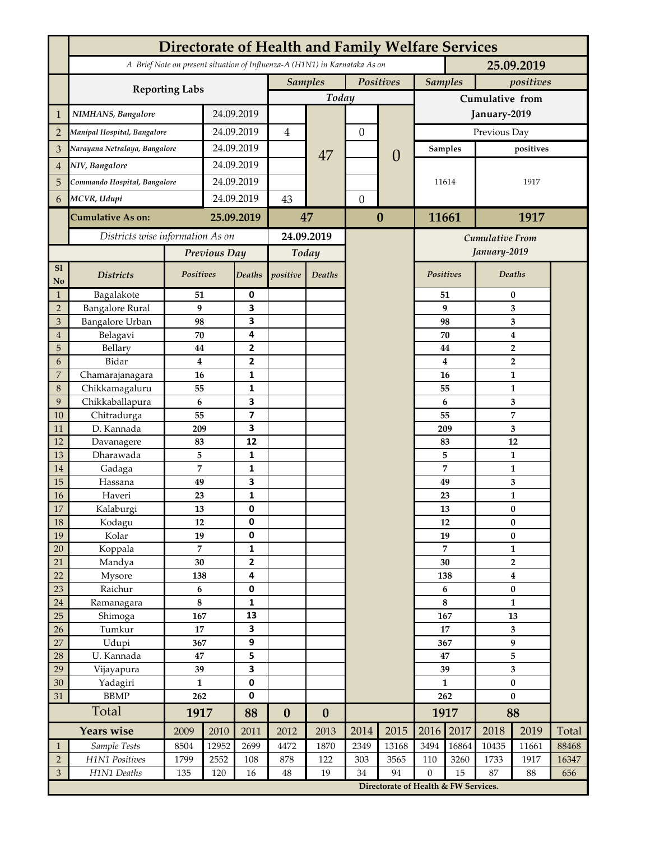|                     | <b>Directorate of Health and Family Welfare Services</b>                                 |                |               |                |                  |                  |                  |                                      |                     |                             |                           |            |              |  |
|---------------------|------------------------------------------------------------------------------------------|----------------|---------------|----------------|------------------|------------------|------------------|--------------------------------------|---------------------|-----------------------------|---------------------------|------------|--------------|--|
|                     | A Brief Note on present situation of Influenza-A (H1N1) in Karnataka As on<br>25.09.2019 |                |               |                |                  |                  |                  |                                      |                     |                             |                           |            |              |  |
|                     |                                                                                          |                |               |                | <b>Samples</b>   |                  | Positives        |                                      | <b>Samples</b>      |                             | positives                 |            |              |  |
|                     | <b>Reporting Labs</b>                                                                    |                |               |                | Today            |                  |                  |                                      | Cumulative from     |                             |                           |            |              |  |
| 1                   | NIMHANS, Bangalore                                                                       | 24.09.2019     |               |                |                  |                  |                  | January-2019                         |                     |                             |                           |            |              |  |
| $\overline{2}$      | Manipal Hospital, Bangalore                                                              |                |               | 24.09.2019     |                  |                  | $\boldsymbol{0}$ |                                      | Previous Day        |                             |                           |            |              |  |
| 3                   | Narayana Netralaya, Bangalore                                                            |                |               | 24.09.2019     |                  |                  |                  |                                      | Samples             |                             | positives                 |            |              |  |
| $\overline{4}$      | NIV, Bangalore                                                                           |                | 24.09.2019    |                |                  | 47               |                  | $\overline{0}$                       |                     |                             |                           |            |              |  |
|                     | Commando Hospital, Bangalore                                                             |                | 24.09.2019    |                |                  |                  |                  |                                      | 11614               |                             |                           | 1917       |              |  |
| 5                   |                                                                                          |                |               |                |                  |                  |                  |                                      |                     |                             |                           |            |              |  |
| 6                   | MCVR, Udupi                                                                              |                | 24.09.2019    |                | 43               |                  | $\theta$         |                                      |                     |                             |                           |            |              |  |
|                     | <b>Cumulative As on:</b>                                                                 |                | 25.09.2019    |                | 47               |                  | $\boldsymbol{0}$ |                                      | 11661<br>1917       |                             |                           |            |              |  |
|                     | Districts wise information As on                                                         |                |               | 24.09.2019     |                  |                  |                  | <b>Cumulative From</b>               |                     |                             |                           |            |              |  |
|                     |                                                                                          | Previous Day   |               | Today          |                  |                  |                  | January-2019                         |                     |                             |                           |            |              |  |
| S1<br>No            | <b>Districts</b>                                                                         | Positives      |               | Deaths         | positive         | Deaths           |                  |                                      |                     | Positives                   | Deaths                    |            |              |  |
| $\mathbf{1}$        | Bagalakote                                                                               | 51             |               | 0              |                  |                  |                  |                                      |                     | 51                          | 0                         |            |              |  |
| $\overline{2}$      | <b>Bangalore Rural</b>                                                                   | 9              |               | 3              |                  |                  |                  |                                      |                     | 9                           | 3                         |            |              |  |
| $\mathfrak{Z}$      | Bangalore Urban                                                                          | 98             |               | 3              |                  |                  |                  |                                      | 98                  |                             | 3                         |            |              |  |
| $\overline{4}$<br>5 | Belagavi<br>Bellary                                                                      | 70<br>44       |               | 4<br>2         |                  |                  |                  |                                      | 70                  |                             | $\boldsymbol{4}$          |            |              |  |
| 6                   | Bidar                                                                                    | $\bf{4}$       |               | $\mathbf{2}$   |                  |                  |                  |                                      | 44<br>4             | $\mathbf 2$<br>$\mathbf{2}$ |                           |            |              |  |
| 7                   | Chamarajanagara                                                                          | 16             |               | 1              |                  |                  |                  |                                      | 16                  |                             | $\mathbf{1}$              |            |              |  |
| 8                   | Chikkamagaluru                                                                           | 55             |               | 1              |                  |                  |                  |                                      | 55                  |                             | $\mathbf{1}$              |            |              |  |
| 9                   | Chikkaballapura                                                                          | 6              |               | 3              |                  |                  |                  |                                      |                     | 6                           |                           | 3          |              |  |
| 10                  | Chitradurga                                                                              | 55             |               | $\overline{7}$ |                  |                  |                  |                                      | 55                  |                             |                           | 7          |              |  |
| 11                  | D. Kannada                                                                               | 209            |               | 3              |                  |                  |                  |                                      |                     | 209                         |                           | 3          |              |  |
| 12                  | Davanagere                                                                               | 83             |               | 12             |                  |                  |                  |                                      | 83                  |                             |                           | 12         |              |  |
| 13                  | Dharawada                                                                                | 5              |               | 1              |                  |                  |                  |                                      | 5<br>7              |                             | 1<br>$\mathbf{1}$         |            |              |  |
| 14<br>15            | Gadaga<br>Hassana                                                                        | 7<br>49        |               | 1<br>3         |                  |                  |                  |                                      | 49                  |                             | 3                         |            |              |  |
| 16                  | Haveri                                                                                   | 23             |               | 1              |                  |                  |                  |                                      | 23                  |                             | $\mathbf{1}$              |            |              |  |
| 17                  | Kalaburgi                                                                                | 13             |               | 0              |                  |                  |                  |                                      | 13                  |                             | $\bf{0}$                  |            |              |  |
| 18                  | Kodagu                                                                                   | 12             |               | 0              |                  |                  |                  |                                      | 12                  |                             | $\pmb{0}$                 |            |              |  |
| 19                  | Kolar                                                                                    | 19             |               | 0              |                  |                  |                  |                                      | 19                  |                             | $\bf{0}$                  |            |              |  |
| $20\,$              | Koppala                                                                                  | $\overline{7}$ |               | 1              |                  |                  |                  |                                      | $\overline{7}$      |                             | $\mathbf{1}$              |            |              |  |
| 21                  | Mandya                                                                                   | 30             |               | $\mathbf 2$    |                  |                  |                  |                                      | 30                  |                             | $\overline{2}$            |            |              |  |
| 22                  | Mysore                                                                                   | 138            |               | 4              |                  |                  |                  |                                      | 138<br>6            |                             | $\boldsymbol{4}$          |            |              |  |
| 23<br>$24\,$        | Raichur<br>Ramanagara                                                                    | 6<br>$\bf 8$   |               | 0<br>1         |                  |                  |                  |                                      |                     |                             | $\pmb{0}$<br>$\mathbf{1}$ |            |              |  |
| 25                  | Shimoga                                                                                  | 167            |               | 13             |                  |                  |                  |                                      | 8<br>167            |                             | 13                        |            |              |  |
| 26                  | Tumkur                                                                                   | 17             |               | 3              |                  |                  |                  |                                      | 17                  |                             | $\mathbf{3}$              |            |              |  |
| 27                  | Udupi                                                                                    | 367            |               | 9              |                  |                  |                  |                                      | 367                 |                             | 9                         |            |              |  |
| 28                  | U. Kannada                                                                               | 47             |               | 5              |                  |                  |                  |                                      | 47                  |                             | 5                         |            |              |  |
| 29                  | Vijayapura                                                                               | 39             |               | 3              |                  |                  |                  |                                      | 39                  |                             | 3                         |            |              |  |
| 30                  | Yadagiri                                                                                 | $\mathbf{1}$   |               | 0              |                  |                  |                  |                                      | $\mathbf{1}$        |                             | $\pmb{0}$                 |            |              |  |
| 31                  | ${\rm BBMP}$                                                                             | 262            |               | 0<br>88        |                  |                  |                  |                                      | 262                 |                             | $\bf{0}$                  |            |              |  |
|                     | Total                                                                                    |                | 1917          |                | $\boldsymbol{0}$ | $\boldsymbol{0}$ |                  |                                      |                     | 1917                        | 88                        |            |              |  |
|                     | Years wise                                                                               | 2009           | 2010          | 2011           | 2012             | 2013             | 2014             | 2015                                 | 2016                | 2017                        | 2018                      | 2019       | Total        |  |
| $\mathbf{1}$        | Sample Tests<br>H1N1 Positives                                                           | 8504           | 12952<br>2552 | 2699           | 4472             | 1870             | 2349             | 13168                                | 3494                | 16864<br>3260               | 10435                     | 11661      | 88468        |  |
| $\overline{2}$<br>3 | H1N1 Deaths                                                                              | 1799<br>135    | 120           | 108<br>16      | 878<br>48        | 122<br>19        | 303<br>34        | 3565<br>94                           | 110<br>$\mathbf{0}$ | 15                          | 1733<br>87                | 1917<br>88 | 16347<br>656 |  |
|                     |                                                                                          |                |               |                |                  |                  |                  | Directorate of Health & FW Services. |                     |                             |                           |            |              |  |